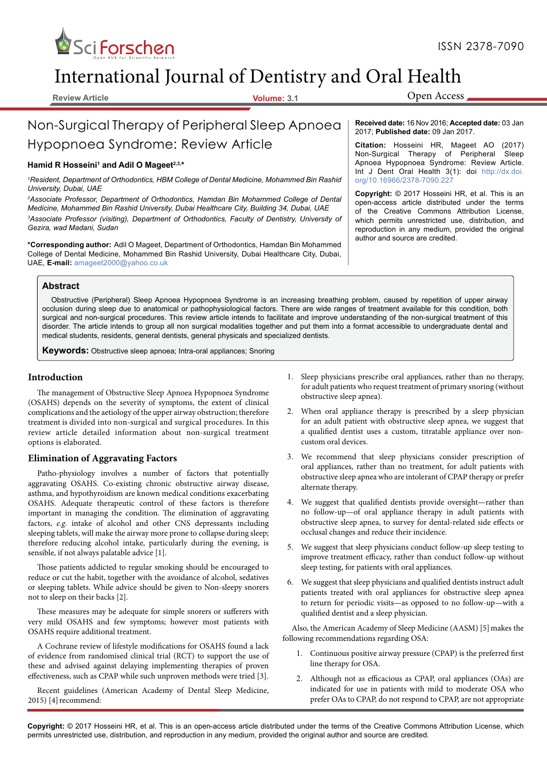

# International Journal of Dentistry and Oral Health

**Review Article Volume: 3.1**

Open Access

## Non-Surgical Therapy of Peripheral Sleep Apnoea Hypopnoea Syndrome: Review Article

## **Hamid R Hosseini<sup>1</sup> and Adil O Mageet2,3, \***

*<sup>1</sup>Resident, Department of Orthodontics, HBM College of Dental Medicine, Mohammed Bin Rashid University, Dubai, UAE*

*<sup>2</sup>Associate Professor, Department of Orthodontics, Hamdan Bin Mohammed College of Dental Medicine, Mohammed Bin Rashid University, Dubai Healthcare City, Building 34, Dubai, UAE <sup>3</sup>Associate Professor (visiting), Department of Orthodontics, Faculty of Dentistry, University of Gezira, wad Madani, Sudan*

**\*Corresponding author:** Adil O Mageet, Department of Orthodontics, Hamdan Bin Mohammed College of Dental Medicine, Mohammed Bin Rashid University, Dubai Healthcare City, Dubai, UAE, **E-mail:** amageet2000@yahoo.co.uk

**Received date:** 16 Nov 2016; **Accepted date:** 03 Jan 2017; **Published date:** 09 Jan 2017.

**Citation:** Hosseini HR, Mageet AO (2017) Non-Surgical Therapy of Peripheral Sleep Apnoea Hypopnoea Syndrome: Review Article. Int J Dent Oral Health 3(1): doi http://dx.doi. org/10.16966/2378-7090.227

**Copyright:** © 2017 Hosseini HR, et al. This is an open-access article distributed under the terms of the Creative Commons Attribution License, which permits unrestricted use, distribution, and reproduction in any medium, provided the original author and source are credited.

#### **Abstract**

Obstructive (Peripheral) Sleep Apnoea Hypopnoea Syndrome is an increasing breathing problem, caused by repetition of upper airway occlusion during sleep due to anatomical or pathophysiological factors. There are wide ranges of treatment available for this condition, both surgical and non-surgical procedures. This review article intends to facilitate and improve understanding of the non-surgical treatment of this disorder. The article intends to group all non surgical modalities together and put them into a format accessible to undergraduate dental and medical students, residents, general dentists, general physicals and specialized dentists.

**Keywords:** Obstructive sleep apnoea; Intra-oral appliances; Snoring

## **Introduction**

The management of Obstructive Sleep Apnoea Hypopnoea Syndrome (OSAHS) depends on the severity of symptoms, the extent of clinical complications and the aetiology of the upper airway obstruction; therefore treatment is divided into non-surgical and surgical procedures. In this review article detailed information about non-surgical treatment options is elaborated.

## **Elimination of Aggravating Factors**

Patho-physiology involves a number of factors that potentially aggravating OSAHS. Co-existing chronic obstructive airway disease, asthma, and hypothyroidism are known medical conditions exacerbating OSAHS. Adequate therapeutic control of these factors is therefore important in managing the condition. The elimination of aggravating factors, e.g. intake of alcohol and other CNS depressants including sleeping tablets, will make the airway more prone to collapse during sleep; therefore reducing alcohol intake, particularly during the evening, is sensible, if not always palatable advice [1].

Those patients addicted to regular smoking should be encouraged to reduce or cut the habit, together with the avoidance of alcohol, sedatives or sleeping tablets. While advice should be given to Non-sleepy snorers not to sleep on their backs [2].

These measures may be adequate for simple snorers or sufferers with very mild OSAHS and few symptoms; however most patients with OSAHS require additional treatment.

A Cochrane review of lifestyle modifications for OSAHS found a lack of evidence from randomised clinical trial (RCT) to support the use of these and advised against delaying implementing therapies of proven effectiveness, such as CPAP while such unproven methods were tried [3].

Recent guidelines (American Academy of Dental Sleep Medicine, 2015) [4] recommend:

- 1. Sleep physicians prescribe oral appliances, rather than no therapy, for adult patients who request treatment of primary snoring (without obstructive sleep apnea).
- 2. When oral appliance therapy is prescribed by a sleep physician for an adult patient with obstructive sleep apnea, we suggest that a qualified dentist uses a custom, titratable appliance over noncustom oral devices.
- 3. We recommend that sleep physicians consider prescription of oral appliances, rather than no treatment, for adult patients with obstructive sleep apnea who are intolerant of CPAP therapy or prefer alternate therapy.
- 4. We suggest that qualified dentists provide oversight—rather than no follow-up—of oral appliance therapy in adult patients with obstructive sleep apnea, to survey for dental-related side effects or occlusal changes and reduce their incidence.
- 5. We suggest that sleep physicians conduct follow-up sleep testing to improve treatment efficacy, rather than conduct follow-up without sleep testing, for patients with oral appliances.
- 6. We suggest that sleep physicians and qualified dentists instruct adult patients treated with oral appliances for obstructive sleep apnea to return for periodic visits—as opposed to no follow-up—with a qualified dentist and a sleep physician.

Also, the American Academy of Sleep Medicine (AASM) [5] makes the following recommendations regarding OSA:

- 1. Continuous positive airway pressure (CPAP) is the preferred first line therapy for OSA.
- 2. Although not as efficacious as CPAP, oral appliances (OAs) are indicated for use in patients with mild to moderate OSA who prefer OAs to CPAP, do not respond to CPAP, are not appropriate

**Copyright:** © 2017 Hosseini HR, et al. This is an open-access article distributed under the terms of the Creative Commons Attribution License, which permits unrestricted use, distribution, and reproduction in any medium, provided the original author and source are credited.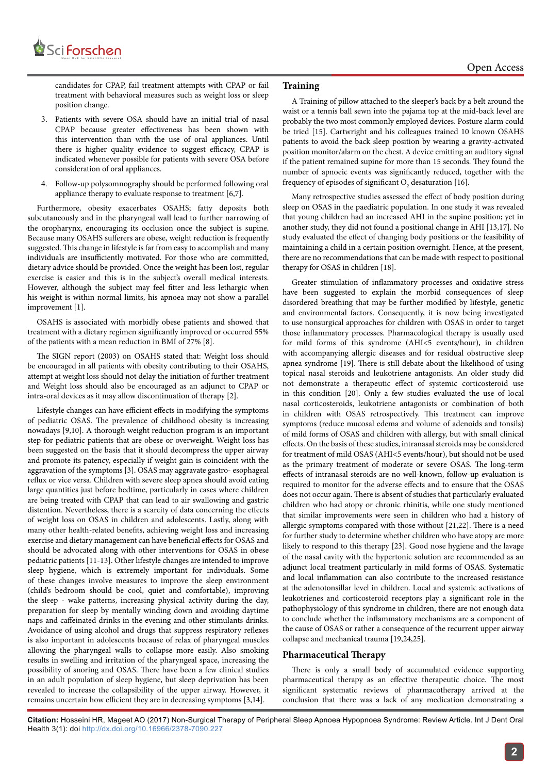

candidates for CPAP, fail treatment attempts with CPAP or fail treatment with behavioral measures such as weight loss or sleep position change.

- 3. Patients with severe OSA should have an initial trial of nasal CPAP because greater effectiveness has been shown with this intervention than with the use of oral appliances. Until there is higher quality evidence to suggest efficacy, CPAP is indicated whenever possible for patients with severe OSA before consideration of oral appliances.
- 4. Follow-up polysomnography should be performed following oral appliance therapy to evaluate response to treatment [6,7].

Furthermore, obesity exacerbates OSAHS; fatty deposits both subcutaneously and in the pharyngeal wall lead to further narrowing of the oropharynx, encouraging its occlusion once the subject is supine. Because many OSAHS sufferers are obese, weight reduction is frequently suggested. This change in lifestyle is far from easy to accomplish and many individuals are insufficiently motivated. For those who are committed, dietary advice should be provided. Once the weight has been lost, regular exercise is easier and this is in the subject's overall medical interests. However, although the subject may feel fitter and less lethargic when his weight is within normal limits, his apnoea may not show a parallel improvement [1].

OSAHS is associated with morbidly obese patients and showed that treatment with a dietary regimen significantly improved or occurred 55% of the patients with a mean reduction in BMI of 27% [8].

The SIGN report (2003) on OSAHS stated that: Weight loss should be encouraged in all patients with obesity contributing to their OSAHS, attempt at weight loss should not delay the initiation of further treatment and Weight loss should also be encouraged as an adjunct to CPAP or intra-oral devices as it may allow discontinuation of therapy [2].

Lifestyle changes can have efficient effects in modifying the symptoms of pediatric OSAS. The prevalence of childhood obesity is increasing nowadays [9,10]. A thorough weight reduction program is an important step for pediatric patients that are obese or overweight. Weight loss has been suggested on the basis that it should decompress the upper airway and promote its patency, especially if weight gain is coincident with the aggravation of the symptoms [3]. OSAS may aggravate gastro- esophageal reflux or vice versa. Children with severe sleep apnea should avoid eating large quantities just before bedtime, particularly in cases where children are being treated with CPAP that can lead to air swallowing and gastric distention. Nevertheless, there is a scarcity of data concerning the effects of weight loss on OSAS in children and adolescents. Lastly, along with many other health-related benefits, achieving weight loss and increasing exercise and dietary management can have beneficial effects for OSAS and should be advocated along with other interventions for OSAS in obese pediatric patients [11-13]. Other lifestyle changes are intended to improve sleep hygiene, which is extremely important for individuals. Some of these changes involve measures to improve the sleep environment (child's bedroom should be cool, quiet and comfortable), improving the sleep - wake patterns, increasing physical activity during the day, preparation for sleep by mentally winding down and avoiding daytime naps and caffeinated drinks in the evening and other stimulants drinks. Avoidance of using alcohol and drugs that suppress respiratory reflexes is also important in adolescents because of relax of pharyngeal muscles allowing the pharyngeal walls to collapse more easily. Also smoking results in swelling and irritation of the pharyngeal space, increasing the possibility of snoring and OSAS. There have been a few clinical studies in an adult population of sleep hygiene, but sleep deprivation has been revealed to increase the collapsibility of the upper airway. However, it remains uncertain how efficient they are in decreasing symptoms [3,14].

## **Training**

A Training of pillow attached to the sleeper's back by a belt around the waist or a tennis ball sewn into the pajama top at the mid-back level are probably the two most commonly employed devices. Posture alarm could be tried [15]. Cartwright and his colleagues trained 10 known OSAHS patients to avoid the back sleep position by wearing a gravity-activated position monitor/alarm on the chest. A device emitting an auditory signal if the patient remained supine for more than 15 seconds. They found the number of apnoeic events was significantly reduced, together with the frequency of episodes of significant  $O_2$  desaturation [16].

Many retrospective studies assessed the effect of body position during sleep on OSAS in the paediatric population. In one study it was revealed that young children had an increased AHI in the supine position; yet in another study, they did not found a positional change in AHI [13,17]. No study evaluated the effect of changing body positions or the feasibility of maintaining a child in a certain position overnight. Hence, at the present, there are no recommendations that can be made with respect to positional therapy for OSAS in children [18].

Greater stimulation of inflammatory processes and oxidative stress have been suggested to explain the morbid consequences of sleep disordered breathing that may be further modified by lifestyle, genetic and environmental factors. Consequently, it is now being investigated to use nonsurgical approaches for children with OSAS in order to target those inflammatory processes. Pharmacological therapy is usually used for mild forms of this syndrome (AHI<5 events/hour), in children with accompanying allergic diseases and for residual obstructive sleep apnea syndrome [19]. There is still debate about the likelihood of using topical nasal steroids and leukotriene antagonists. An older study did not demonstrate a therapeutic effect of systemic corticosteroid use in this condition [20]. Only a few studies evaluated the use of local nasal corticosteroids, leukotriene antagonists or combination of both in children with OSAS retrospectively. This treatment can improve symptoms (reduce mucosal edema and volume of adenoids and tonsils) of mild forms of OSAS and children with allergy, but with small clinical effects. On the basis of these studies, intranasal steroids may be considered for treatment of mild OSAS (AHI<5 events/hour), but should not be used as the primary treatment of moderate or severe OSAS. The long-term effects of intranasal steroids are no well-known, follow-up evaluation is required to monitor for the adverse effects and to ensure that the OSAS does not occur again. There is absent of studies that particularly evaluated children who had atopy or chronic rhinitis, while one study mentioned that similar improvements were seen in children who had a history of allergic symptoms compared with those without [21,22]. There is a need for further study to determine whether children who have atopy are more likely to respond to this therapy [23]. Good nose hygiene and the lavage of the nasal cavity with the hypertonic solution are recommended as an adjunct local treatment particularly in mild forms of OSAS. Systematic and local inflammation can also contribute to the increased resistance at the adenotonsillar level in children. Local and systemic activations of leukotrienes and corticosteroid receptors play a significant role in the pathophysiology of this syndrome in children, there are not enough data to conclude whether the inflammatory mechanisms are a component of the cause of OSAS or rather a consequence of the recurrent upper airway collapse and mechanical trauma [19,24,25].

## **Pharmaceutical Therapy**

There is only a small body of accumulated evidence supporting pharmaceutical therapy as an effective therapeutic choice. The most significant systematic reviews of pharmacotherapy arrived at the conclusion that there was a lack of any medication demonstrating a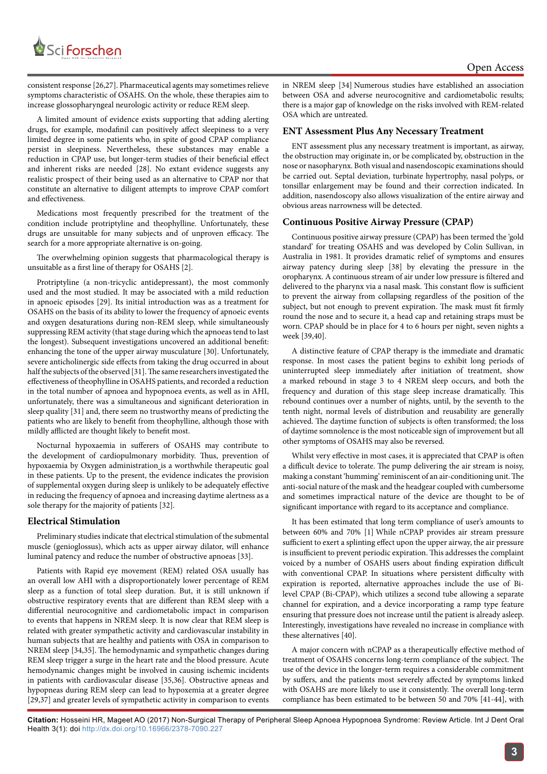

A limited amount of evidence exists supporting that adding alerting drugs, for example, modafinil can positively affect sleepiness to a very limited degree in some patients who, in spite of good CPAP compliance persist in sleepiness. Nevertheless, these substances may enable a reduction in CPAP use, but longer-term studies of their beneficial effect and inherent risks are needed [28]. No extant evidence suggests any realistic prospect of their being used as an alternative to CPAP nor that constitute an alternative to diligent attempts to improve CPAP comfort and effectiveness.

Medications most frequently prescribed for the treatment of the condition include protriptyline and theophylline. Unfortunately, these drugs are unsuitable for many subjects and of unproven efficacy. The search for a more appropriate alternative is on-going.

The overwhelming opinion suggests that pharmacological therapy is unsuitable as a first line of therapy for OSAHS [2].

Protriptyline (a non-tricyclic antidepressant), the most commonly used and the most studied. It may be associated with a mild reduction in apnoeic episodes [29]. Its initial introduction was as a treatment for OSAHS on the basis of its ability to lower the frequency of apnoeic events and oxygen desaturations during non-REM sleep, while simultaneously suppressing REM activity (that stage during which the apnoeas tend to last the longest). Subsequent investigations uncovered an additional benefit: enhancing the tone of the upper airway musculature [30]. Unfortunately, severe anticholinergic side effects from taking the drug occurred in about half the subjects of the observed [31]. The same researchers investigated the effectiveness of theophylline in OSAHS patients, and recorded a reduction in the total number of apnoea and hypopnoea events, as well as in AHI, unfortunately, there was a simultaneous and significant deterioration in sleep quality [31] and, there seem no trustworthy means of predicting the patients who are likely to benefit from theophylline, although those with mildly afflicted are thought likely to benefit most.

Nocturnal hypoxaemia in sufferers of OSAHS may contribute to the development of cardiopulmonary morbidity. Thus, prevention of hypoxaemia by Oxygen administration\_is a worthwhile therapeutic goal in these patients. Up to the present, the evidence indicates the provision of supplemental oxygen during sleep is unlikely to be adequately effective in reducing the frequency of apnoea and increasing daytime alertness as a sole therapy for the majority of patients [32].

## **Electrical Stimulation**

Preliminary studies indicate that electrical stimulation of the submental muscle (genioglossus), which acts as upper airway dilator, will enhance luminal patency and reduce the number of obstructive apnoeas [33].

Patients with Rapid eye movement (REM) related OSA usually has an overall low AHI with a disproportionately lower percentage of REM sleep as a function of total sleep duration. But, it is still unknown if obstructive respiratory events that are different than REM sleep with a differential neurocognitive and cardiometabolic impact in comparison to events that happens in NREM sleep. It is now clear that REM sleep is related with greater sympathetic activity and cardiovascular instability in human subjects that are healthy and patients with OSA in comparison to NREM sleep [34,35]. The hemodynamic and sympathetic changes during REM sleep trigger a surge in the heart rate and the blood pressure. Acute hemodynamic changes might be involved in causing ischemic incidents in patients with cardiovascular disease [35,36]. Obstructive apneas and hypopneas during REM sleep can lead to hypoxemia at a greater degree [29,37] and greater levels of sympathetic activity in comparison to events

in NREM sleep [34] Numerous studies have established an association between OSA and adverse neurocognitive and cardiometabolic results; there is a major gap of knowledge on the risks involved with REM-related OSA which are untreated.

#### **ENT Assessment Plus Any Necessary Treatment**

ENT assessment plus any necessary treatment is important, as airway, the obstruction may originate in, or be complicated by, obstruction in the nose or nasopharynx. Both visual and nasendoscopic examinations should be carried out. Septal deviation, turbinate hypertrophy, nasal polyps, or tonsillar enlargement may be found and their correction indicated. In addition, nasendoscopy also allows visualization of the entire airway and obvious areas narrowness will be detected.

#### **Continuous Positive Airway Pressure (CPAP)**

Continuous positive airway pressure (CPAP) has been termed the 'gold standard' for treating OSAHS and was developed by Colin Sullivan, in Australia in 1981. It provides dramatic relief of symptoms and ensures airway patency during sleep [38] by elevating the pressure in the oropharynx. A continuous stream of air under low pressure is filtered and delivered to the pharynx via a nasal mask. This constant flow is sufficient to prevent the airway from collapsing regardless of the position of the subject, but not enough to prevent expiration. The mask must fit firmly round the nose and to secure it, a head cap and retaining straps must be worn. CPAP should be in place for 4 to 6 hours per night, seven nights a week [39,40].

A distinctive feature of CPAP therapy is the immediate and dramatic response. In most cases the patient begins to exhibit long periods of uninterrupted sleep immediately after initiation of treatment, show a marked rebound in stage 3 to 4 NREM sleep occurs, and both the frequency and duration of this stage sleep increase dramatically. This rebound continues over a number of nights, until, by the seventh to the tenth night, normal levels of distribution and reusability are generally achieved. The daytime function of subjects is often transformed; the loss of daytime somnolence is the most noticeable sign of improvement but all other symptoms of OSAHS may also be reversed.

Whilst very effective in most cases, it is appreciated that CPAP is often a difficult device to tolerate. The pump delivering the air stream is noisy, making a constant 'humming' reminiscent of an air-conditioning unit. The anti-social nature of the mask and the headgear coupled with cumbersome and sometimes impractical nature of the device are thought to be of significant importance with regard to its acceptance and compliance.

It has been estimated that long term compliance of user's amounts to between 60% and 70% [1] While nCPAP provides air stream pressure sufficient to exert a splinting effect upon the upper airway, the air pressure is insufficient to prevent periodic expiration. This addresses the complaint voiced by a number of OSAHS users about finding expiration difficult with conventional CPAP. In situations where persistent difficulty with expiration is reported, alternative approaches include the use of Bilevel CPAP (Bi-CPAP), which utilizes a second tube allowing a separate channel for expiration, and a device incorporating a ramp type feature ensuring that pressure does not increase until the patient is already asleep. Interestingly, investigations have revealed no increase in compliance with these alternatives [40].

A major concern with nCPAP as a therapeutically effective method of treatment of OSAHS concerns long-term compliance of the subject. The use of the device in the longer-term requires a considerable commitment by suffers, and the patients most severely affected by symptoms linked with OSAHS are more likely to use it consistently. The overall long-term compliance has been estimated to be between 50 and 70% [41-44], with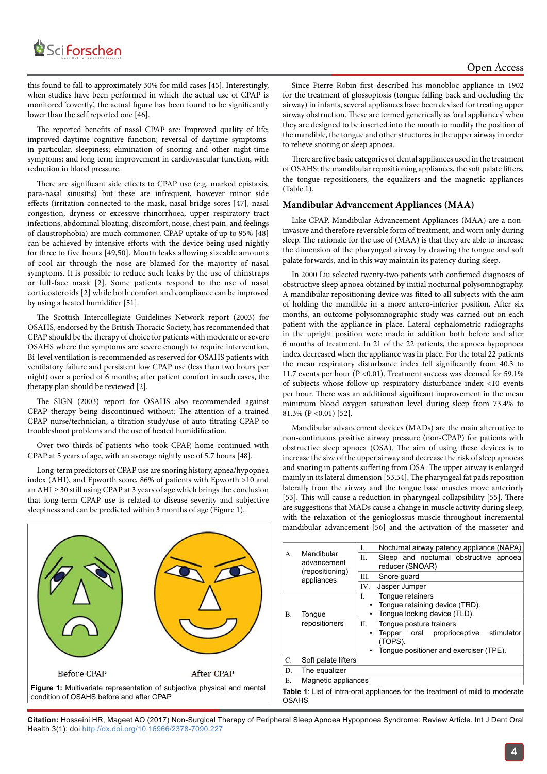

this found to fall to approximately 30% for mild cases [45]. Interestingly, when studies have been performed in which the actual use of CPAP is monitored 'covertly', the actual figure has been found to be significantly lower than the self reported one [46].

The reported benefits of nasal CPAP are: Improved quality of life; improved daytime cognitive function; reversal of daytime symptomsin particular, sleepiness; elimination of snoring and other night-time symptoms; and long term improvement in cardiovascular function, with reduction in blood pressure.

There are significant side effects to CPAP use (e.g. marked epistaxis, para-nasal sinusitis) but these are infrequent, however minor side effects (irritation connected to the mask, nasal bridge sores [47], nasal congestion, dryness or excessive rhinorrhoea, upper respiratory tract infections, abdominal bloating, discomfort, noise, chest pain, and feelings of claustrophobia) are much commoner. CPAP uptake of up to 95% [48] can be achieved by intensive efforts with the device being used nightly for three to five hours [49,50]. Mouth leaks allowing sizeable amounts of cool air through the nose are blamed for the majority of nasal symptoms. It is possible to reduce such leaks by the use of chinstraps or full-face mask [2]. Some patients respond to the use of nasal corticosteroids [2] while both comfort and compliance can be improved by using a heated humidifier [51].

The Scottish Intercollegiate Guidelines Network report (2003) for OSAHS, endorsed by the British Thoracic Society, has recommended that CPAP should be the therapy of choice for patients with moderate or severe OSAHS where the symptoms are severe enough to require intervention, Bi-level ventilation is recommended as reserved for OSAHS patients with ventilatory failure and persistent low CPAP use (less than two hours per night) over a period of 6 months; after patient comfort in such cases, the therapy plan should be reviewed [2].

The SIGN (2003) report for OSAHS also recommended against CPAP therapy being discontinued without: The attention of a trained CPAP nurse/technician, a titration study/use of auto titrating CPAP to troubleshoot problems and the use of heated humidification.

Over two thirds of patients who took CPAP, home continued with CPAP at 5 years of age, with an average nightly use of 5.7 hours [48].

Long-term predictors of CPAP use are snoring history, apnea/hypopnea index (AHI), and Epworth score, 86% of patients with Epworth >10 and an AHI ≥ 30 still using CPAP at 3 years of age which brings the conclusion that long-term CPAP use is related to disease severity and subjective sleepiness and can be predicted within 3 months of age (Figure 1).

Since Pierre Robin first described his monobloc appliance in 1902 for the treatment of glossoptosis (tongue falling back and occluding the airway) in infants, several appliances have been devised for treating upper airway obstruction. These are termed generically as 'oral appliances' when they are designed to be inserted into the mouth to modify the position of the mandible, the tongue and other structures in the upper airway in order to relieve snoring or sleep apnoea.

There are five basic categories of dental appliances used in the treatment of OSAHS: the mandibular repositioning appliances, the soft palate lifters, the tongue repositioners, the equalizers and the magnetic appliances (Table 1).

## **Mandibular Advancement Appliances (MAA)**

Like CPAP, Mandibular Advancement Appliances (MAA) are a noninvasive and therefore reversible form of treatment, and worn only during sleep. The rationale for the use of (MAA) is that they are able to increase the dimension of the pharyngeal airway by drawing the tongue and soft palate forwards, and in this way maintain its patency during sleep.

In 2000 Liu selected twenty-two patients with confirmed diagnoses of obstructive sleep apnoea obtained by initial nocturnal polysomnography. A mandibular repositioning device was fitted to all subjects with the aim of holding the mandible in a more antero-inferior position. After six months, an outcome polysomnographic study was carried out on each patient with the appliance in place. Lateral cephalometric radiographs in the upright position were made in addition both before and after 6 months of treatment. In 21 of the 22 patients, the apnoea hypopnoea index decreased when the appliance was in place. For the total 22 patients the mean respiratory disturbance index fell significantly from 40.3 to 11.7 events per hour (P <0.01). Treatment success was deemed for 59.1% of subjects whose follow-up respiratory disturbance index <10 events per hour. There was an additional significant improvement in the mean minimum blood oxygen saturation level during sleep from 73.4% to 81.3% (P <0.01) [52].

Mandibular advancement devices (MADs) are the main alternative to non-continuous positive airway pressure (non-CPAP) for patients with obstructive sleep apnoea (OSA). The aim of using these devices is to increase the size of the upper airway and decrease the risk of sleep apnoeas and snoring in patients suffering from OSA. The upper airway is enlarged mainly in its lateral dimension [53,54]. The pharyngeal fat pads reposition laterally from the airway and the tongue base muscles move anteriorly [53]. This will cause a reduction in pharyngeal collapsibility [55]. There are suggestions that MADs cause a change in muscle activity during sleep, with the relaxation of the genioglossus muscle throughout incremental mandibular advancement [56] and the activation of the masseter and



A. Mandibular advancement (repositioning) appliances I. Nocturnal airway patency appliance (NAPA) II. Sleep and nocturnal obstructive apnoea reducer (SNOAR) III. Snore guard IV. Jasper Jumper B. Tongue repositioners I. Tongue retainers Tongue retaining device (TRD). Tongue locking device (TLD). II. Tongue posture trainers Tepper oral proprioceptive stimulator (TOPS). Tongue positioner and exerciser (TPE). C. Soft palate lifters D. The equalizer E. Magnetic appliances **Table 1**: List of intra-oral appliances for the treatment of mild to moderate OSAHS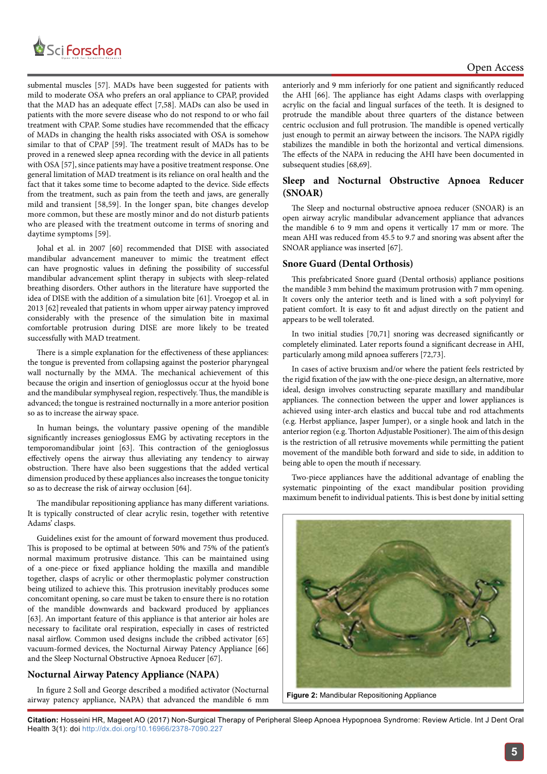

submental muscles [57]. MADs have been suggested for patients with mild to moderate OSA who prefers an oral appliance to CPAP, provided that the MAD has an adequate effect [7,58]. MADs can also be used in patients with the more severe disease who do not respond to or who fail treatment with CPAP. Some studies have recommended that the efficacy of MADs in changing the health risks associated with OSA is somehow similar to that of CPAP [59]. The treatment result of MADs has to be proved in a renewed sleep apnea recording with the device in all patients with OSA [57], since patients may have a positive treatment response. One general limitation of MAD treatment is its reliance on oral health and the fact that it takes some time to become adapted to the device. Side effects from the treatment, such as pain from the teeth and jaws, are generally mild and transient [58,59]. In the longer span, bite changes develop more common, but these are mostly minor and do not disturb patients who are pleased with the treatment outcome in terms of snoring and daytime symptoms [59].

Johal et al. in 2007 [60] recommended that DISE with associated mandibular advancement maneuver to mimic the treatment effect can have prognostic values in defining the possibility of successful mandibular advancement splint therapy in subjects with sleep-related breathing disorders. Other authors in the literature have supported the idea of DISE with the addition of a simulation bite [61]. Vroegop et al. in 2013 [62] revealed that patients in whom upper airway patency improved considerably with the presence of the simulation bite in maximal comfortable protrusion during DISE are more likely to be treated successfully with MAD treatment.

There is a simple explanation for the effectiveness of these appliances: the tongue is prevented from collapsing against the posterior pharyngeal wall nocturnally by the MMA. The mechanical achievement of this because the origin and insertion of genioglossus occur at the hyoid bone and the mandibular symphyseal region, respectively. Thus, the mandible is advanced; the tongue is restrained nocturnally in a more anterior position so as to increase the airway space.

In human beings, the voluntary passive opening of the mandible significantly increases genioglossus EMG by activating receptors in the temporomandibular joint [63]. This contraction of the genioglossus effectively opens the airway thus alleviating any tendency to airway obstruction. There have also been suggestions that the added vertical dimension produced by these appliances also increases the tongue tonicity so as to decrease the risk of airway occlusion [64].

The mandibular repositioning appliance has many different variations. It is typically constructed of clear acrylic resin, together with retentive Adams' clasps.

Guidelines exist for the amount of forward movement thus produced. This is proposed to be optimal at between 50% and 75% of the patient's normal maximum protrusive distance. This can be maintained using of a one-piece or fixed appliance holding the maxilla and mandible together, clasps of acrylic or other thermoplastic polymer construction being utilized to achieve this. This protrusion inevitably produces some concomitant opening, so care must be taken to ensure there is no rotation of the mandible downwards and backward produced by appliances [63]. An important feature of this appliance is that anterior air holes are necessary to facilitate oral respiration, especially in cases of restricted nasal airflow. Common used designs include the cribbed activator [65] vacuum-formed devices, the Nocturnal Airway Patency Appliance [66] and the Sleep Nocturnal Obstructive Apnoea Reducer [67].

## **Nocturnal Airway Patency Appliance (NAPA)**

In figure 2 Soll and George described a modified activator (Nocturnal airway patency appliance, NAPA) that advanced the mandible 6 mm anteriorly and 9 mm inferiorly for one patient and significantly reduced the AHI [66]. The appliance has eight Adams clasps with overlapping acrylic on the facial and lingual surfaces of the teeth. It is designed to protrude the mandible about three quarters of the distance between centric occlusion and full protrusion. The mandible is opened vertically just enough to permit an airway between the incisors. The NAPA rigidly stabilizes the mandible in both the horizontal and vertical dimensions. The effects of the NAPA in reducing the AHI have been documented in subsequent studies [68,69].

## **Sleep and Nocturnal Obstructive Apnoea Reducer (SNOAR)**

The Sleep and nocturnal obstructive apnoea reducer (SNOAR**)** is an open airway acrylic mandibular advancement appliance that advances the mandible 6 to 9 mm and opens it vertically 17 mm or more. The mean AHI was reduced from 45.5 to 9.7 and snoring was absent after the SNOAR appliance was inserted [67].

## **Snore Guard (Dental Orthosis)**

This prefabricated Snore guard (Dental orthosis) appliance positions the mandible 3 mm behind the maximum protrusion with 7 mm opening. It covers only the anterior teeth and is lined with a soft polyvinyl for patient comfort. It is easy to fit and adjust directly on the patient and appears to be well tolerated.

In two initial studies [70,71] snoring was decreased significantly or completely eliminated. Later reports found a significant decrease in AHI, particularly among mild apnoea sufferers [72,73].

In cases of active bruxism and/or where the patient feels restricted by the rigid fixation of the jaw with the one-piece design, an alternative, more ideal, design involves constructing separate maxillary and mandibular appliances. The connection between the upper and lower appliances is achieved using inter-arch elastics and buccal tube and rod attachments (e.g. Herbst appliance, Jasper Jumper), or a single hook and latch in the anterior region (e.g. Thorton Adjustable Positioner). The aim of this design is the restriction of all retrusive movements while permitting the patient movement of the mandible both forward and side to side, in addition to being able to open the mouth if necessary.

Two-piece appliances have the additional advantage of enabling the systematic pinpointing of the exact mandibular position providing maximum benefit to individual patients. This is best done by initial setting



**Figure 2:** Mandibular Repositioning Appliance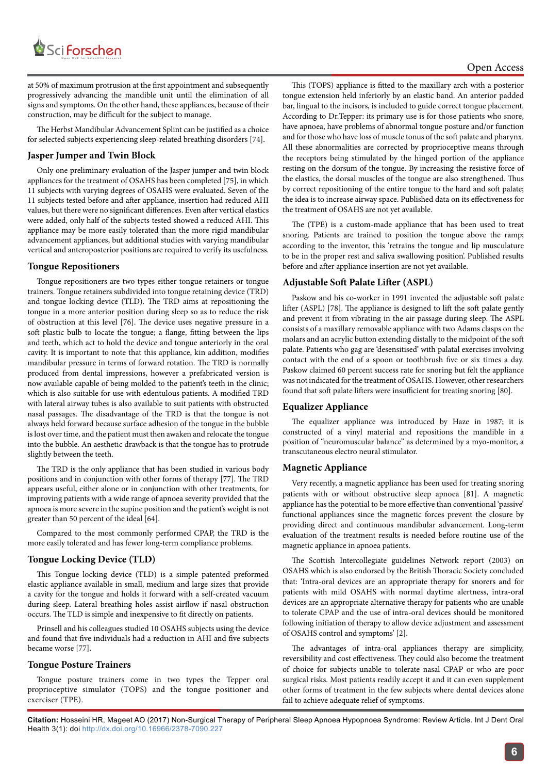

at 50% of maximum protrusion at the first appointment and subsequently progressively advancing the mandible unit until the elimination of all signs and symptoms. On the other hand, these appliances, because of their construction, may be difficult for the subject to manage.

The Herbst Mandibular Advancement Splint can be justified as a choice for selected subjects experiencing sleep-related breathing disorders [74].

### **Jasper Jumper and Twin Block**

Only one preliminary evaluation of the Jasper jumper and twin block appliances for the treatment of OSAHS has been completed [75], in which 11 subjects with varying degrees of OSAHS were evaluated. Seven of the 11 subjects tested before and after appliance, insertion had reduced AHI values, but there were no significant differences. Even after vertical elastics were added, only half of the subjects tested showed a reduced AHI. This appliance may be more easily tolerated than the more rigid mandibular advancement appliances, but additional studies with varying mandibular vertical and anteroposterior positions are required to verify its usefulness.

#### **Tongue Repositioners**

Tongue repositioners are two types either tongue retainers or tongue trainers. Tongue retainers subdivided into tongue retaining device (TRD) and tongue locking device (TLD). The TRD aims at repositioning the tongue in a more anterior position during sleep so as to reduce the risk of obstruction at this level [76]. The device uses negative pressure in a soft plastic bulb to locate the tongue; a flange, fitting between the lips and teeth, which act to hold the device and tongue anteriorly in the oral cavity. It is important to note that this appliance, kin addition, modifies mandibular pressure in terms of forward rotation. The TRD is normally produced from dental impressions, however a prefabricated version is now available capable of being molded to the patient's teeth in the clinic; which is also suitable for use with edentulous patients. A modified TRD with lateral airway tubes is also available to suit patients with obstructed nasal passages. The disadvantage of the TRD is that the tongue is not always held forward because surface adhesion of the tongue in the bubble is lost over time, and the patient must then awaken and relocate the tongue into the bubble. An aesthetic drawback is that the tongue has to protrude slightly between the teeth.

The TRD is the only appliance that has been studied in various body positions and in conjunction with other forms of therapy [77]. The TRD appears useful, either alone or in conjunction with other treatments, for improving patients with a wide range of apnoea severity provided that the apnoea is more severe in the supine position and the patient's weight is not greater than 50 percent of the ideal [64].

Compared to the most commonly performed CPAP, the TRD is the more easily tolerated and has fewer long-term compliance problems.

#### **Tongue Locking Device (TLD)**

This Tongue locking device (TLD) is a simple patented preformed elastic appliance available in small, medium and large sizes that provide a cavity for the tongue and holds it forward with a self-created vacuum during sleep. Lateral breathing holes assist airflow if nasal obstruction occurs. The TLD is simple and inexpensive to fit directly on patients.

Prinsell and his colleagues studied 10 OSAHS subjects using the device and found that five individuals had a reduction in AHI and five subjects became worse [77].

#### **Tongue Posture Trainers**

Tongue posture trainers come in two types the Tepper oral proprioceptive simulator (TOPS) and the tongue positioner and exerciser (TPE).

This (TOPS) appliance is fitted to the maxillary arch with a posterior tongue extension held inferiorly by an elastic band. An anterior padded bar, lingual to the incisors, is included to guide correct tongue placement. According to Dr.Tepper: its primary use is for those patients who snore, have apnoea, have problems of abnormal tongue posture and/or function and for those who have loss of muscle tonus of the soft palate and pharynx. All these abnormalities are corrected by proprioceptive means through the receptors being stimulated by the hinged portion of the appliance resting on the dorsum of the tongue. By increasing the resistive force of the elastics, the dorsal muscles of the tongue are also strengthened. Thus by correct repositioning of the entire tongue to the hard and soft palate; the idea is to increase airway space. Published data on its effectiveness for the treatment of OSAHS are not yet available.

The (TPE) is a custom-made appliance that has been used to treat snoring. Patients are trained to position the tongue above the ramp; according to the inventor, this 'retrains the tongue and lip musculature to be in the proper rest and saliva swallowing position'. Published results before and after appliance insertion are not yet available.

#### **Adjustable Soft Palate Lifter (ASPL)**

Paskow and his co-worker in 1991 invented the adjustable soft palate lifter (ASPL) [78]. The appliance is designed to lift the soft palate gently and prevent it from vibrating in the air passage during sleep. The ASPL consists of a maxillary removable appliance with two Adams clasps on the molars and an acrylic button extending distally to the midpoint of the soft palate. Patients who gag are 'desensitised' with palatal exercises involving contact with the end of a spoon or toothbrush five or six times a day. Paskow claimed 60 percent success rate for snoring but felt the appliance was not indicated for the treatment of OSAHS. However, other researchers found that soft palate lifters were insufficient for treating snoring [80].

#### **Equalizer Appliance**

The equalizer appliance was introduced by Haze in 1987; it is constructed of a vinyl material and repositions the mandible in a position of "neuromuscular balance" as determined by a myo-monitor, a transcutaneous electro neural stimulator.

#### **Magnetic Appliance**

Very recently, a magnetic appliance has been used for treating snoring patients with or without obstructive sleep apnoea [81]. A magnetic appliance has the potential to be more effective than conventional 'passive' functional appliances since the magnetic forces prevent the closure by providing direct and continuous mandibular advancement. Long-term evaluation of the treatment results is needed before routine use of the magnetic appliance in apnoea patients.

The Scottish Intercollegiate guidelines Network report (2003) on OSAHS which is also endorsed by the British Thoracic Society concluded that: 'Intra-oral devices are an appropriate therapy for snorers and for patients with mild OSAHS with normal daytime alertness, intra-oral devices are an appropriate alternative therapy for patients who are unable to tolerate CPAP and the use of intra-oral devices should be monitored following initiation of therapy to allow device adjustment and assessment of OSAHS control and symptoms' [2].

The advantages of intra-oral appliances therapy are simplicity, reversibility and cost effectiveness. They could also become the treatment of choice for subjects unable to tolerate nasal CPAP or who are poor surgical risks. Most patients readily accept it and it can even supplement other forms of treatment in the few subjects where dental devices alone fail to achieve adequate relief of symptoms.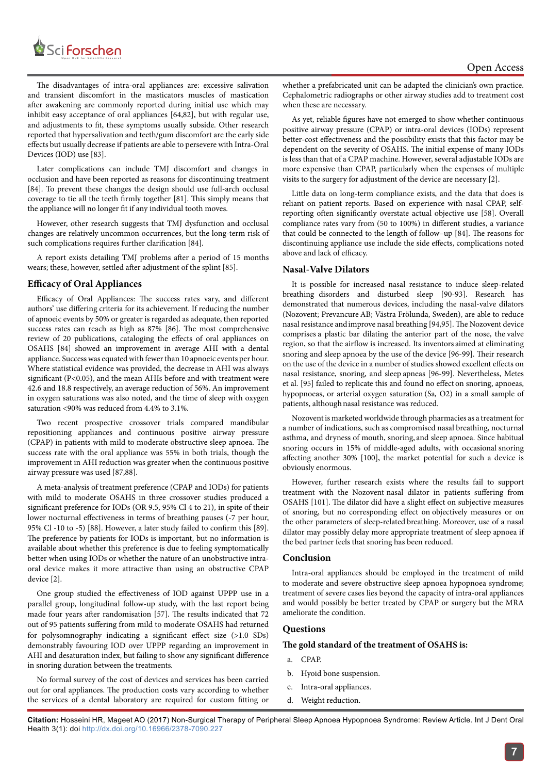

The disadvantages of intra-oral appliances are: excessive salivation and transient discomfort in the masticators muscles of mastication after awakening are commonly reported during initial use which may inhibit easy acceptance of oral appliances [64,82], but with regular use, and adjustments to fit, these symptoms usually subside. Other research reported that hypersalivation and teeth/gum discomfort are the early side effects but usually decrease if patients are able to persevere with Intra-Oral Devices (IOD) use [83].

Later complications can include TMJ discomfort and changes in occlusion and have been reported as reasons for discontinuing treatment [84]. To prevent these changes the design should use full-arch occlusal coverage to tie all the teeth firmly together [81]. This simply means that the appliance will no longer fit if any individual tooth moves.

However, other research suggests that TMJ dysfunction and occlusal changes are relatively uncommon occurrences, but the long-term risk of such complications requires further clarification [84].

A report exists detailing TMJ problems after a period of 15 months wears; these, however, settled after adjustment of the splint [85].

#### **Efficacy of Oral Appliances**

Efficacy of Oral Appliances: The success rates vary, and different authors' use differing criteria for its achievement. If reducing the number of apnoeic events by 50% or greater is regarded as adequate, then reported success rates can reach as high as 87% [86]. The most comprehensive review of 20 publications, cataloging the effects of oral appliances on OSAHS [84] showed an improvement in average AHI with a dental appliance. Success was equated with fewer than 10 apnoeic events per hour. Where statistical evidence was provided, the decrease in AHI was always significant (P<0.05), and the mean AHIs before and with treatment were 42.6 and 18.8 respectively, an average reduction of 56%. An improvement in oxygen saturations was also noted, and the time of sleep with oxygen saturation <90% was reduced from 4.4% to 3.1%.

Two recent prospective crossover trials compared mandibular repositioning appliances and continuous positive airway pressure (CPAP) in patients with mild to moderate obstructive sleep apnoea. The success rate with the oral appliance was 55% in both trials, though the improvement in AHI reduction was greater when the continuous positive airway pressure was used [87,88].

A meta-analysis of treatment preference (CPAP and IODs) for patients with mild to moderate OSAHS in three crossover studies produced a significant preference for IODs (OR 9.5, 95% Cl 4 to 21), in spite of their lower nocturnal effectiveness in terms of breathing pauses (-7 per hour, 95% Cl -10 to -5) [88]. However, a later study failed to confirm this [89]. The preference by patients for IODs is important, but no information is available about whether this preference is due to feeling symptomatically better when using IODs or whether the nature of an unobstructive intraoral device makes it more attractive than using an obstructive CPAP device [2].

One group studied the effectiveness of IOD against UPPP use in a parallel group, longitudinal follow-up study, with the last report being made four years after randomisation [57]. The results indicated that 72 out of 95 patients suffering from mild to moderate OSAHS had returned for polysomnography indicating a significant effect size (>1.0 SDs) demonstrably favouring IOD over UPPP regarding an improvement in AHI and desaturation index, but failing to show any significant difference in snoring duration between the treatments.

No formal survey of the cost of devices and services has been carried out for oral appliances. The production costs vary according to whether the services of a dental laboratory are required for custom fitting or

whether a prefabricated unit can be adapted the clinician's own practice. Cephalometric radiographs or other airway studies add to treatment cost when these are necessary.

As yet, reliable figures have not emerged to show whether continuous positive airway pressure (CPAP) or intra-oral devices (IODs) represent better-cost effectiveness and the possibility exists that this factor may be dependent on the severity of OSAHS. The initial expense of many IODs is less than that of a CPAP machine. However, several adjustable IODs are more expensive than CPAP, particularly when the expenses of multiple visits to the surgery for adjustment of the device are necessary [2].

Little data on long-term compliance exists, and the data that does is reliant on patient reports. Based on experience with nasal CPAP, selfreporting often significantly overstate actual objective use [58]. Overall compliance rates vary from (50 to 100%) in different studies, a variance that could be connected to the length of follow–up [84]. The reasons for discontinuing appliance use include the side effects, complications noted above and lack of efficacy.

#### **Nasal-Valve Dilators**

It is possible for increased nasal resistance to induce sleep-related breathing disorders and disturbed sleep [90-93]. Research has demonstrated that numerous devices, including the nasal-valve dilators (Nozovent; PrevancureAB; Västra Frölunda, Sweden), are able to reduce nasal resistance andimprove nasal breathing [94,95]. The Nozovent device comprises a plastic bar dilating the anterior part of the nose, the valve region, so that the airflow is increased. Its inventors aimed at eliminating snoring and sleep apnoea by the use of the device [96-99]. Their research on the use of the device in a number of studies showed excellent effects on nasal resistance, snoring, and sleep apneas [96-99]. Nevertheless, Metes et al. [95] failed to replicate this and found no effect on snoring, apnoeas, hypopnoeas, or arterial oxygen saturation (Sa, O2) in a small sample of patients, although nasal resistance was reduced.

Nozovent is marketed worldwide through pharmacies as a treatment for a number of indications, such as compromised nasal breathing, nocturnal asthma, and dryness of mouth, snoring, and sleep apnoea. Since habitual snoring occurs in 15% of middle-aged adults, with occasional snoring affecting another 30% [100], the market potential for such a device is obviously enormous.

However, further research exists where the results fail to support treatment with the Nozovent nasal dilator in patients suffering from OSAHS [101]. The dilator did have a slight effect on subjective measures of snoring, but no corresponding effect on objectively measures or on the other parameters of sleep-related breathing. Moreover, use of a nasal dilator may possibly delay more appropriate treatment of sleep apnoea if the bed partner feels that snoring has been reduced.

## **Conclusion**

Intra-oral appliances should be employed in the treatment of mild to moderate and severe obstructive sleep apnoea hypopnoea syndrome; treatment of severe cases lies beyond the capacity of intra-oral appliances and would possibly be better treated by CPAP or surgery but the MRA ameliorate the condition.

#### **Questions**

#### **The gold standard of the treatment of OSAHS is:**

- a. CPAP.
- b. Hyoid bone suspension.
- c. Intra-oral appliances.
- d. Weight reduction.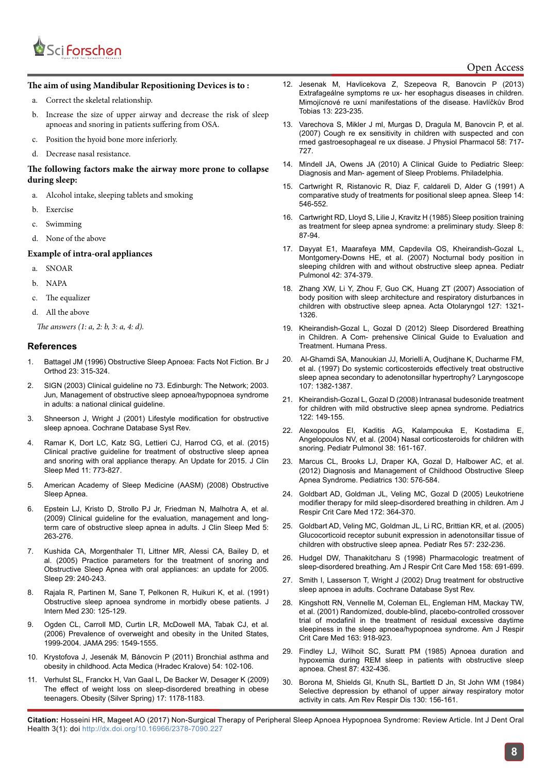

## Open Access

#### **The aim of using Mandibular Repositioning Devices is to :**

- a. Correct the skeletal relationship.
- b. Increase the size of upper airway and decrease the risk of sleep apnoeas and snoring in patients suffering from OSA.
- c. Position the hyoid bone more inferiorly.
- d. Decrease nasal resistance.

#### **The following factors make the airway more prone to collapse during sleep:**

- a. Alcohol intake, sleeping tablets and smoking
- b. Exercise
- c. Swimming
- d. None of the above

#### **Example of intra-oral appliances**

- a. SNOAR
- b. NAPA
- c. The equalizer
- d. All the above

The answers (1: a, 2: b, 3: a, 4: d).

#### **References**

- 1. Battagel JM (1996) Obstructive Sleep Apnoea: Facts Not Fiction. Br J Orthod 23: 315-324.
- 2. SIGN (2003) Clinical guideline no 73. Edinburgh: The Network; 2003. Jun, Management of obstructive sleep apnoea/hypopnoea syndrome in adults: a national clinical guideline.
- 3. Shneerson J, Wright J (2001) Lifestyle modification for obstructive sleep apnoea. Cochrane Database Syst Rev.
- 4. Ramar K, Dort LC, Katz SG, Lettieri CJ, Harrod CG, et al. (2015) Clinical practive guideline for treatment of obstructive sleep apnea and snoring with oral appliance therapy. An Update for 2015. J Clin Sleep Med 11: 773-827.
- 5. American Academy of Sleep Medicine (AASM) (2008) Obstructive Sleep Apnea.
- 6. Epstein LJ, Kristo D, Strollo PJ Jr, Friedman N, Malhotra A, et al. (2009) Clinical guideline for the evaluation, management and longterm care of obstructive sleep apnea in adults. J Clin Sleep Med 5: 263-276.
- 7. Kushida CA, Morgenthaler TI, Littner MR, Alessi CA, Bailey D, et al. (2005) Practice parameters for the treatment of snoring and Obstructive Sleep Apnea with oral appliances: an update for 2005. Sleep 29: 240-243.
- 8. Rajala R, Partinen M, Sane T, Pelkonen R, Huikuri K, et al. (1991) Obstructive sleep apnoea syndrome in morbidly obese patients. J Intern Med 230: 125-129.
- 9. Ogden CL, Carroll MD, Curtin LR, McDowell MA, Tabak CJ, et al. (2006) Prevalence of overweight and obesity in the United States, 1999-2004. JAMA 295: 1549-1555.
- 10. Krystofova J, Jesenák M, Bánovcin P (2011) Bronchial asthma and obesity in childhood. Acta Medica (Hradec Kralove) 54: 102-106.
- 11. Verhulst SL, Franckx H, Van Gaal L, De Backer W, Desager K (2009) The effect of weight loss on sleep-disordered breathing in obese teenagers. Obesity (Silver Spring) 17: 1178-1183.
- 12. Jesenak M, Havlicekova Z, Szepeova R, Banovcin P (2013) Extrafageálne symptoms re ux- her esophagus diseases in children. Mimojícnové re uxní manifestations of the disease. Havlíčkův Brod Tobias 13: 223-235.
- 13. Varechova S, Mikler J ml, Murgas D, Dragula M, Banovcin P, et al. (2007) Cough re ex sensitivity in children with suspected and con rmed gastroesophageal re ux disease. J Physiol Pharmacol 58: 717- 727.
- 14. Mindell JA, Owens JA (2010) A Clinical Guide to Pediatric Sleep: Diagnosis and Man- agement of Sleep Problems. Philadelphia.
- 15. Cartwright R, Ristanovic R, Diaz F, caldareli D, Alder G (1991) A comparative study of treatments for positional sleep apnea. Sleep 14: 546-552.
- 16. Cartwright RD, Lloyd S, Lilie J, Kravitz H (1985) Sleep position training as treatment for sleep apnea syndrome: a preliminary study. Sleep 8: 87-94.
- 17. Dayyat E1, Maarafeya MM, Capdevila OS, Kheirandish-Gozal L, Montgomery-Downs HE, et al. (2007) Nocturnal body position in sleeping children with and without obstructive sleep apnea. Pediatr Pulmonol 42: 374-379.
- 18. Zhang XW, Li Y, Zhou F, Guo CK, Huang ZT (2007) Association of body position with sleep architecture and respiratory disturbances in children with obstructive sleep apnea. Acta Otolaryngol 127: 1321- 1326.
- 19. Kheirandish-Gozal L, Gozal D (2012) Sleep Disordered Breathing in Children. A Com- prehensive Clinical Guide to Evaluation and Treatment. Humana Press.
- 20. Al-Ghamdi SA, Manoukian JJ, Morielli A, Oudjhane K, Ducharme FM, et al. (1997) Do systemic corticosteroids effectively treat obstructive sleep apnea secondary to adenotonsillar hypertrophy? Laryngoscope 107: 1382-1387.
- 21. Kheirandish-Gozal L, Gozal D (2008) Intranasal budesonide treatment for children with mild obstructive sleep apnea syndrome. Pediatrics 122: 149-155.
- 22. Alexopoulos EI, Kaditis AG, Kalampouka E, Kostadima E, Angelopoulos NV, et al. (2004) Nasal corticosteroids for children with snoring. Pediatr Pulmonol 38: 161-167.
- 23. Marcus CL, Brooks LJ, Draper KA, Gozal D, Halbower AC, et al. (2012) Diagnosis and Management of Childhood Obstructive Sleep Apnea Syndrome. Pediatrics 130: 576-584.
- 24. Goldbart AD, Goldman JL, Veling MC, Gozal D (2005) Leukotriene modifier therapy for mild sleep-disordered breathing in children. Am J Respir Crit Care Med 172: 364-370.
- 25. Goldbart AD, Veling MC, Goldman JL, Li RC, Brittian KR, et al. (2005) Glucocorticoid receptor subunit expression in adenotonsillar tissue of children with obstructive sleep apnea. Pediatr Res 57: 232-236.
- 26. Hudgel DW, Thanakitcharu S (1998) Pharmacologic treatment of sleep-disordered breathing. Am J Respir Crit Care Med 158: 691-699.
- 27. Smith I, Lasserson T, Wright J (2002) Drug treatment for obstructive sleep apnoea in adults. Cochrane Database Syst Rev.
- 28. Kingshott RN, Vennelle M, Coleman EL, Engleman HM, Mackay TW, et al. (2001) Randomized, double-blind, placebo-controlled crossover trial of modafinil in the treatment of residual excessive daytime sleepiness in the sleep apnoea/hypopnoea syndrome. Am J Respir Crit Care Med 163: 918-923.
- 29. Findley LJ, Wilhoit SC, Suratt PM (1985) Apnoea duration and hypoxemia during REM sleep in patients with obstructive sleep apnoea. Chest 87: 432-436.
- 30. Borona M, Shields GI, Knuth SL, Bartlett D Jn, St John WM (1984) Selective depression by ethanol of upper airway respiratory motor activity in cats. Am Rev Respir Dis 130: 156-161.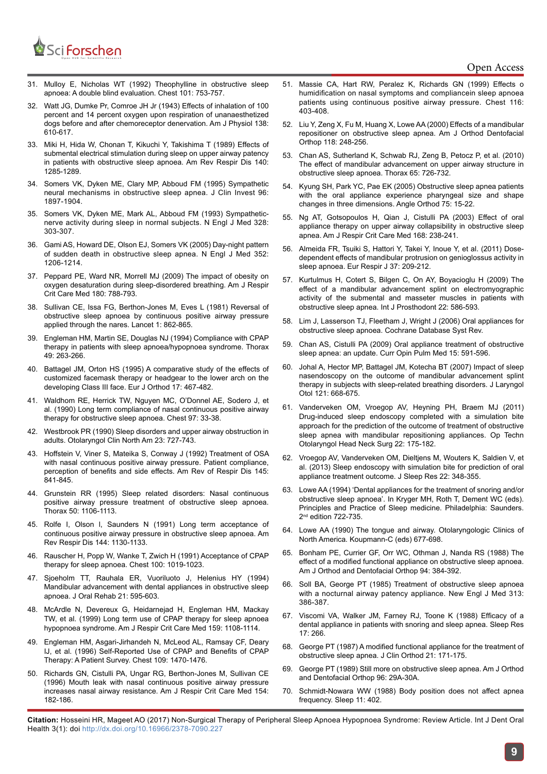

## Open Access

- 31. Mulloy E, Nicholas WT (1992) Theophylline in obstructive sleep apnoea: A double blind evaluation. Chest 101: 753-757.
- 32. Watt JG, Dumke Pr, Comroe JH Jr (1943) Effects of inhalation of 100 percent and 14 percent oxygen upon respiration of unanaesthetized dogs before and after chemoreceptor denervation. Am J Physiol 138: 610-617.
- 33. Miki H, Hida W, Chonan T, Kikuchi Y, Takishima T (1989) Effects of submental electrical stimulation during sleep on upper airway patency in patients with obstructive sleep apnoea. Am Rev Respir Dis 140: 1285-1289.
- 34. Somers VK, Dyken ME, Clary MP, Abboud FM (1995) Sympathetic neural mechanisms in obstructive sleep apnea. J Clin Invest 96: 1897-1904.
- 35. Somers VK, Dyken ME, Mark AL, Abboud FM (1993) Sympatheticnerve activity during sleep in normal subjects. N Engl J Med 328: 303-307.
- 36. Gami AS, Howard DE, Olson EJ, Somers VK (2005) Day-night pattern of sudden death in obstructive sleep apnea. N Engl J Med 352: 1206-1214.
- 37. Peppard PE, Ward NR, Morrell MJ (2009) The impact of obesity on oxygen desaturation during sleep-disordered breathing. Am J Respir Crit Care Med 180: 788-793.
- 38. Sullivan CE, Issa FG, Berthon-Jones M, Eves L (1981) Reversal of obstructive sleep apnoea by continuous positive airway pressure applied through the nares. Lancet 1: 862-865.
- 39. Engleman HM, Martin SE, Douglas NJ (1994) Compliance with CPAP therapy in patients with sleep apnoea/hypopnoea syndrome. Thorax 49: 263-266.
- 40. Battagel JM, Orton HS (1995) A comparative study of the effects of customized facemask therapy or headgear to the lower arch on the developing Class III face. Eur J Orthod 17: 467-482.
- 41. Waldhom RE, Herrick TW, Nguyen MC, O'Donnel AE, Sodero J, et al. (1990) Long term compliance of nasal continuous positive airway therapy for obstructive sleep apnoea. Chest 97: 33-38.
- 42. Westbrook PR (1990) Sleep disorders and upper airway obstruction in adults. Otolaryngol Clin North Am 23: 727-743.
- 43. Hoffstein V, Viner S, Mateika S, Conway J (1992) Treatment of OSA with nasal continuous positive airway pressure. Patient compliance, perception of benefits and side effects. Am Rev of Respir Dis 145: 841-845.
- 44. Grunstein RR (1995) Sleep related disorders: Nasal continuous positive airway pressure treatment of obstructive sleep apnoea. Thorax 50: 1106-1113.
- 45. Rolfe I, Olson l, Saunders N (1991) Long term acceptance of continuous positive airway pressure in obstructive sleep apnoea. Am Rev Respir Dis 144: 1130-1133.
- 46. Rauscher H, Popp W, Wanke T, Zwich H (1991) Acceptance of CPAP therapy for sleep apnoea. Chest 100: 1019-1023.
- 47. Sjoeholm TT, Rauhala ER, Vuoriluoto J, Helenius HY (1994) Mandibular advancement with dental appliances in obstructive sleep apnoea. J Oral Rehab 21: 595-603.
- 48. McArdle N, Devereux G, Heidarnejad H, Engleman HM, Mackay TW, et al. (1999) Long term use of CPAP therapy for sleep apnoea hypopnoea syndrome. Am J Respir Crit Care Med 159: 1108-1114.
- 49. Engleman HM, Asgari-Jirhandeh N, McLeod AL, Ramsay CF, Deary IJ, et al. (1996) Self-Reported Use of CPAP and Benefits of CPAP Therapy: A Patient Survey. Chest 109: 1470-1476.
- 50. Richards GN, Cistulli PA, Ungar RG, Berthon-Jones M, Sullivan CE (1996) Mouth leak with nasal continuous positive airway pressure increases nasal airway resistance. Am J Respir Crit Care Med 154: 182-186.
- 51. Massie CA, Hart RW, Peralez K, Richards GN (1999) Effects o humidification on nasal symptoms and compliancein sleep apnoea patients using continuous positive airway pressure. Chest 116: 403-408.
- 52. Liu Y, Zeng X, Fu M, Huang X, Lowe AA (2000) Effects of a mandibular repositioner on obstructive sleep apnea. Am J Orthod Dentofacial Orthop 118: 248-256.
- 53. Chan AS, Sutherland K, Schwab RJ, Zeng B, Petocz P, et al. (2010) The effect of mandibular advancement on upper airway structure in obstructive sleep apnoea. Thorax 65: 726-732.
- 54. Kyung SH, Park YC, Pae EK (2005) Obstructive sleep apnea patients with the oral appliance experience pharyngeal size and shape changes in three dimensions. Angle Orthod 75: 15-22.
- 55. Ng AT, Gotsopoulos H, Qian J, Cistulli PA (2003) Effect of oral appliance therapy on upper airway collapsibility in obstructive sleep apnea. Am J Respir Crit Care Med 168: 238-241.
- 56. Almeida FR, Tsuiki S, Hattori Y, Takei Y, Inoue Y, et al. (2011) Dosedependent effects of mandibular protrusion on genioglossus activity in sleep apnoea. Eur Respir J 37: 209-212.
- 57. Kurtulmus H, Cotert S, Bilgen C, On AY, Boyacioglu H (2009) The effect of a mandibular advancement splint on electromyographic activity of the submental and masseter muscles in patients with obstructive sleep apnea. Int J Prosthodont 22: 586-593.
- 58. Lim J, Lasserson TJ, Fleetham J, Wright J (2006) Oral appliances for obstructive sleep apnoea. Cochrane Database Syst Rev.
- 59. Chan AS, Cistulli PA (2009) Oral appliance treatment of obstructive sleep apnea: an update. Curr Opin Pulm Med 15: 591-596.
- 60. Johal A, Hector MP, Battagel JM, Kotecha BT (2007) Impact of sleep nasendoscopy on the outcome of mandibular advancement splint therapy in subjects with sleep-related breathing disorders. J Laryngol Otol 121: 668-675.
- 61. Vanderveken OM, Vroegop AV, Heyning PH, Braem MJ (2011) Drug-induced sleep endoscopy completed with a simulation bite approach for the prediction of the outcome of treatment of obstructive sleep apnea with mandibular repositioning appliances. Op Techn Otolaryngol Head Neck Surg 22: 175-182.
- 62. Vroegop AV, Vanderveken OM, Dieltjens M, Wouters K, Saldien V, et al. (2013) Sleep endoscopy with simulation bite for prediction of oral appliance treatment outcome. J Sleep Res 22: 348-355.
- 63. Lowe AA (1994) 'Dental appliances for the treatment of snoring and/or obstructive sleep apnoea'. In Kryger MH, Roth T, Dement WC (eds). Principles and Practice of Sleep medicine. Philadelphia: Saunders. 2 nd edition 722-735.
- 64. Lowe AA (1990) The tongue and airway. Otolaryngologic Clinics of North America. Koupmann-C (eds) 677-698.
- 65. Bonham PE, Currier GF, Orr WC, Othman J, Nanda RS (1988) The effect of a modified functional appliance on obstructive sleep apnoea. Am J Orthod and Dentofacial Orthop 94: 384-392.
- 66. Soll BA, George PT (1985) Treatment of obstructive sleep apnoea with a nocturnal airway patency appliance. New Engl J Med 313: 386-387.
- 67. Viscomi VA, Walker JM, Farney RJ, Toone K (1988) Efficacy of a dental appliance in patients with snoring and sleep apnea. Sleep Res 17: 266.
- 68. George PT (1987) A modified functional appliance for the treatment of obstructive sleep apnea. J Clin Orthod 21: 171-175.
- 69. George PT (1989) Still more on obstructive sleep apnea. Am J Orthod and Dentofacial Orthop 96: 29A-30A.
- 70. Schmidt-Nowara WW (1988) Body position does not affect apnea frequency. Sleep 11: 402.